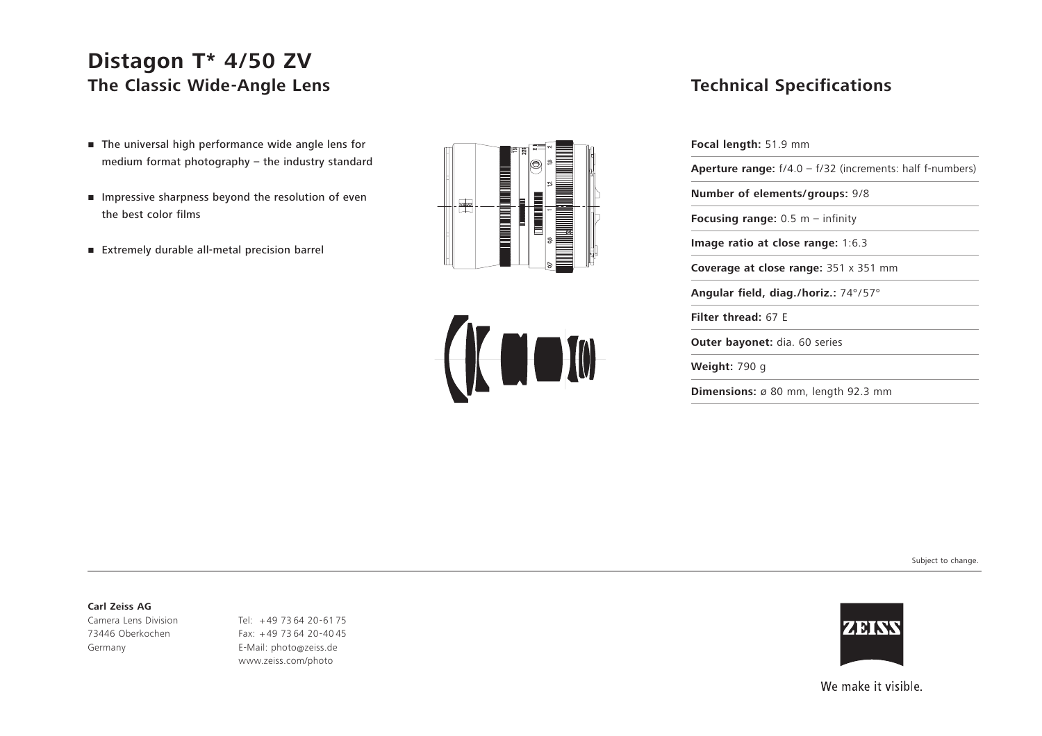# **Distagon T\* 4/50 ZV The Classic Wide-Angle Lens**

- The universal high performance wide angle lens for medium format photography – the industry standard
- Impressive sharpness beyond the resolution of even the best color films
- Extremely durable all-metal precision barrel





### **Technical Specifications**

| <b>Focal length:</b> 51.9 mm                                       |  |
|--------------------------------------------------------------------|--|
| <b>Aperture range:</b> $f/4.0 - f/32$ (increments: half f-numbers) |  |
| <b>Number of elements/groups: 9/8</b>                              |  |
| <b>Focusing range:</b> $0.5$ m – infinity                          |  |
| Image ratio at close range: 1:6.3                                  |  |
| <b>Coverage at close range: 351 x 351 mm</b>                       |  |
| Angular field, diag./horiz.: $74^{\circ}/57^{\circ}$               |  |
| Filter thread: 67 F                                                |  |
| <b>Outer bayonet:</b> dia. 60 series                               |  |
| <b>Weight: 790 g</b>                                               |  |
| <b>Dimensions:</b> $\varnothing$ 80 mm, length 92.3 mm             |  |

Subject to change.

#### **Carl Zeiss AG**

Camera Lens Division 73446 Oberkochen Germany

Tel: <sup>+</sup> 49 73 64 20-61 75 Fax: + 49 73 64 20-40 45 E-Mail: photo@zeiss.de www.zeiss.com/photo



We make it visible.